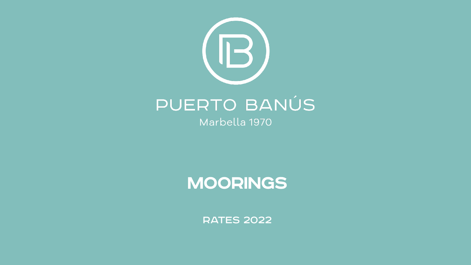

Marbella 1970

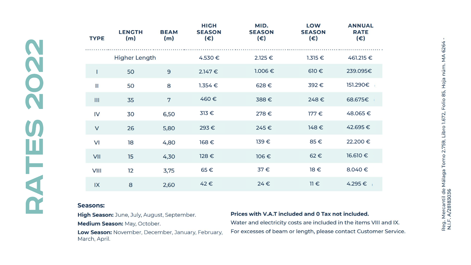| <b>TYPE</b>          | <b>LENGTH</b><br>(m) | <b>BEAM</b><br>(m) | <b>HIGH</b><br><b>SEASON</b><br>$(\epsilon)$ | MID.<br><b>SEASON</b><br>$(\epsilon)$ | <b>LOW</b><br><b>SEASON</b><br>(€) | <b>ANNUAL</b><br><b>RATE</b><br>$(\epsilon)$ |
|----------------------|----------------------|--------------------|----------------------------------------------|---------------------------------------|------------------------------------|----------------------------------------------|
| <b>Higher Length</b> |                      |                    | $4.530 \in$                                  | $2.125 \in$                           | $1.315 \in$                        | 461.215 €                                    |
| 1                    | 50                   | 9                  | $2.147 \in$                                  | $1.006 \in$                           | $610 \in$                          | 239.095€                                     |
| $\mathbf{I}$         | 50                   | 8                  | $1.354 \in$                                  | 628€                                  | 392€                               | 151.290€                                     |
| III                  | 35                   | 7                  | 460€                                         | 388€                                  | 248€                               | 68.675€                                      |
| IV                   | 30                   | 6,50               | $313 \in$                                    | 278€                                  | $177 \in$                          | 48.065€                                      |
| $\vee$               | 26                   | 5,80               | 293€                                         | 245€                                  | 148€                               | 42.695€                                      |
| VI                   | 18                   | 4,80               | 168€                                         | 139€                                  | 85€                                | 22.200€                                      |
| VII                  | 15                   | 4,30               | 128€                                         | 106€                                  | 62€                                | 16.610 €                                     |
| <b>VIII</b>          | 12                   | 3,75               | $65 \in$                                     | $37 \in$                              | $18 \in$                           | 8.040€                                       |
| IX                   | 8                    | 2,60               | 42€                                          | 24€                                   | $11 \in$                           | 4.295€                                       |

#### **Seasons:**

High Season: June, July, August, September.

Medium Season: May, October.

Low Season: November, December, January, February, March, April.

#### Prices with V.A.T included and 0 Tax not included.

Water and electricity costs are included in the items VIII and IX. For excesses of beam or length, please contact Customer Service.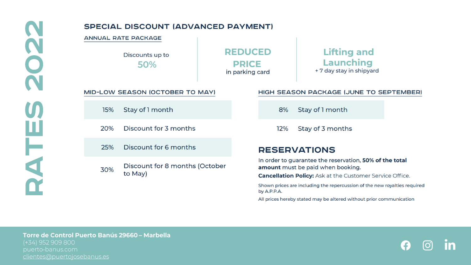## **SPECIAL DISCOUNT (ADVANCED PAYMENT)**

#### **ANNUAL RATE PACKAGE**

15%

20%

25%

30%

Discounts up to 50%

MID-LOW SEASON (OCTOBER TO MAY)

Stay of 1 month

to May)

Discount for 3 months

Discount for 6 months

Discount for 8 months (October

**REDUCED PRICE** in parking card

**Lifting and Launching** + 7 day stay in shipyard

#### HIGH SEASON PACKAGE (JUNE TO SEPTEMBER)

Stay of 1 month 8%

Stay of 3 months 12%

## **RESERVATIONS**

In order to guarantee the reservation, 50% of the total amount must be paid when booking.

**Cancellation Policy:** Ask at the Customer Service Office.

Shown prices are including the repercussion of the new royalties required by A.P.P.A.

All prices hereby stated may be altered without prior communication

Torre de Control Puerto Banús 29660 - Marbella puerto-banus.com clientes@puertojosebanus.es

Æ. lO,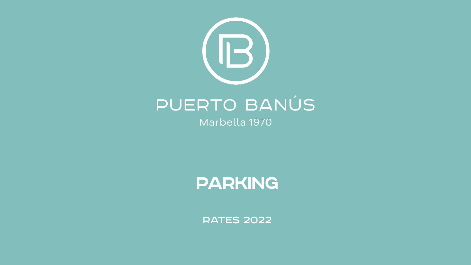

Marbella 1970

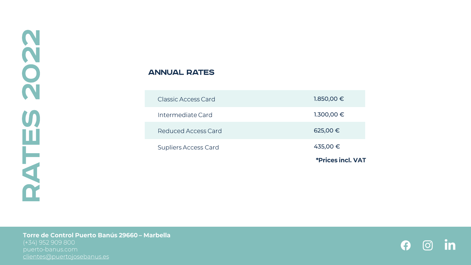## ANNUAL RATES



Torre de Control Puerto Banús 29660 - Marbella clientes@puertojosebanus.es

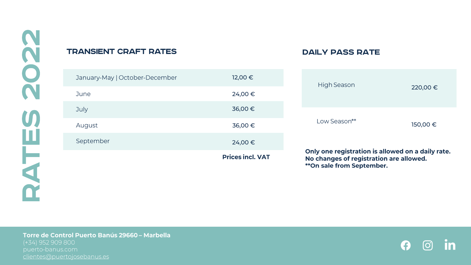## TRANSIENT CRAFT RATES

## DAILY PASS RATE

| January-May   October-December | 12,00 €                 | High Season                                                                                                                      |          |
|--------------------------------|-------------------------|----------------------------------------------------------------------------------------------------------------------------------|----------|
| June                           | 24,00€                  |                                                                                                                                  | 220,00 € |
| July                           | 36,00€                  |                                                                                                                                  |          |
| August                         | 36,00€                  | Low Season**                                                                                                                     | 150,00 € |
| September                      | 24,00€                  |                                                                                                                                  |          |
|                                | <b>Prices incl. VAT</b> | Only one registration is allowed on a daily rate.<br>No changes of registration are allowed.<br><b>**On sale from September.</b> |          |

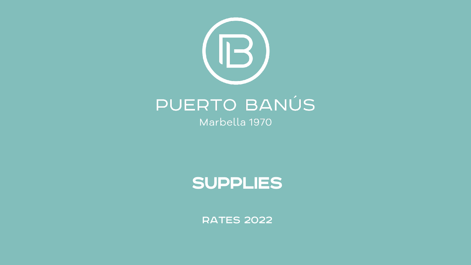

Marbella 1970

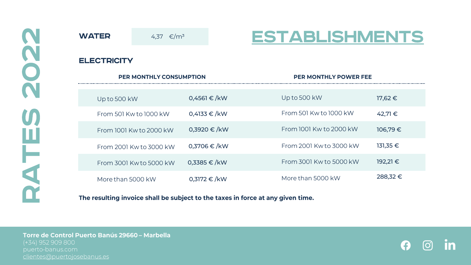**WATER** 4,37 €/m<sup>3</sup> **ELECTRICITY PER MONTHLY CONSUMPTION** 0,4561 € /kW Up to 500 kW 0,4133 € /kW From 501 Kw to 1000 kW 0,3920 € /kW From 1001 Kw to 2000 kW 0,3706 € /kW From 2001 Kw to 3000 kW 0,3385 € /kW From 3001 Kw to 5000 kW

More than 5000 kW

0,3172 € /kW

**ESTABLISHMENTS** 

**PER MONTHLY POWER FEE** 

Up to 500 kW

From 501 Kw to 1000 kW

From 1001 Kw to 2000 kW

From 2001 Kw to 3000 kW

From 3001 Kw to 5000 kW

More than 5000 kW

17,62 €

42,71 €

106,79 €

131,35 €

192,21 €

288,32 €

### The resulting invoice shall be subject to the taxes in force at any given time.

Torre de Control Puerto Banús 29660 - Marbella puerto-banus.com clientes@puertojosebanus.es

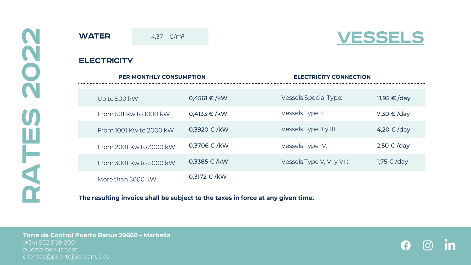**WATER ELECTRICITY** .........

4,37 €/m<sup>3</sup>



| <b>PER MONTHLY CONSUMPTION</b> |                  | <b>ELECTRICITY CONNECTION</b> |                 |  |
|--------------------------------|------------------|-------------------------------|-----------------|--|
|                                |                  |                               |                 |  |
| Up to 500 kW                   | $0,4561 \in /kW$ | <b>Vessels Special Type:</b>  | 11,95 €/day     |  |
| From 501 Kw to 1000 kW         | 0,4133 €/kW      | Vessels Type I:               | 7,30 €/day      |  |
| From 1001 Kw to 2000 kW        | $0,3920 \in /kW$ | Vessels Type II y III:        | 4,20 €/day      |  |
| From 2001 Kw to 3000 kW        | $0,3706 \in$ /kW | Vessels Type IV:              | $2,50 \in /day$ |  |
| From 3001 Kw to 5000 kW        | $0.3385 \in /kW$ | Vessels Type V, VI y VII:     | 1,75 € /day     |  |
| More than 5000 kW              | $0,3172 \in /kW$ |                               |                 |  |

The resulting invoice shall be subject to the taxes in force at any given time.

Torre de Control Puerto Banús 29660 - Marbella clientes@puertojosebanus.es

A  $\odot$ <u>In</u>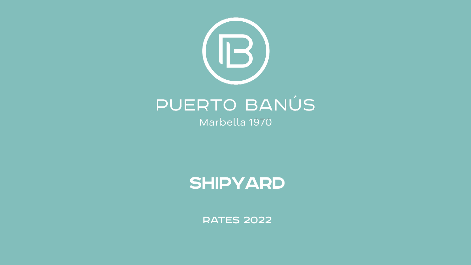

Marbella 1970

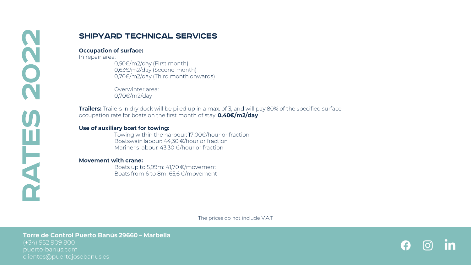## **SHIPYARD TECHNICAL SERVICES**

#### **Occupation of surface:**

In repair area:

0,50€/m2/day (First month) 0,63€/m2/day (Second month)  $0.76 \in /m2$ /day (Third month onwards)

Overwinter area:  $0,70 \in /m2$ /day

Trailers: Trailers in dry dock will be piled up in a max. of 3, and will pay 80% of the specified surface occupation rate for boats on the first month of stay: 0,40€/m2/day

### Use of auxiliary boat for towing:

Towing within the harbour: 17,00€/hour or fraction Boatswain labour:  $44,30 \in$ /hour or fraction Mariner's labour: 43,30 €/hour or fraction

### **Movement with crane:**

Boats up to 5,99m: 41,70 €/movement Boats from 6 to 8m: 65,6 €/movement

The prices do not include V.A.T

puerto-banus.com clientes@puertojosebanus.es